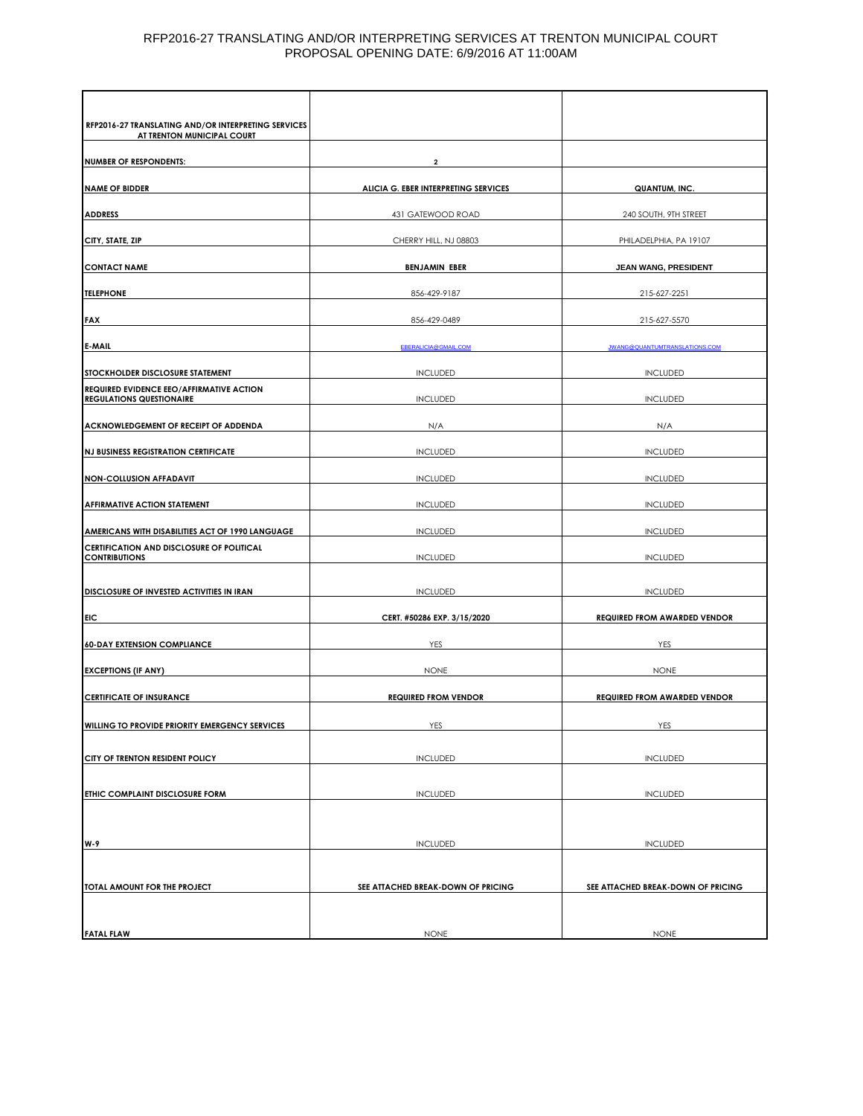#### RFP2016-27 TRANSLATING AND/OR INTERPRETING SERVICES AT TRENTON MUNICIPAL COURT PROPOSAL OPENING DATE: 6/9/2016 AT 11:00AM

| RFP2016-27 TRANSLATING AND/OR INTERPRETING SERVICES<br>AT TRENTON MUNICIPAL COURT             |                                      |                                     |
|-----------------------------------------------------------------------------------------------|--------------------------------------|-------------------------------------|
|                                                                                               |                                      |                                     |
| <b>NUMBER OF RESPONDENTS:</b>                                                                 | $\overline{\mathbf{2}}$              |                                     |
| <b>NAME OF BIDDER</b>                                                                         | ALICIA G. EBER INTERPRETING SERVICES | QUANTUM, INC.                       |
| <b>ADDRESS</b>                                                                                | 431 GATEWOOD ROAD                    | 240 SOUTH, 9TH STREET               |
|                                                                                               |                                      |                                     |
| CITY, STATE, ZIP                                                                              | CHERRY HILL, NJ 08803                | PHILADELPHIA, PA 19107              |
| <b>CONTACT NAME</b>                                                                           | <b>BENJAMIN EBER</b>                 | JEAN WANG, PRESIDENT                |
| <b>TELEPHONE</b>                                                                              | 856-429-9187                         | 215-627-2251                        |
|                                                                                               |                                      |                                     |
| FAX                                                                                           | 856-429-0489                         | 215-627-5570                        |
| E-MAIL                                                                                        | <b>EBERALICIA@GMAIL.COM</b>          | JWANG@QUANTUMTRANSLATIONS.COM       |
| STOCKHOLDER DISCLOSURE STATEMENT                                                              | <b>INCLUDED</b>                      | <b>INCLUDED</b>                     |
| REQUIRED EVIDENCE EEO/AFFIRMATIVE ACTION                                                      |                                      |                                     |
| <b>REGULATIONS QUESTIONAIRE</b>                                                               | <b>INCLUDED</b>                      | <b>INCLUDED</b>                     |
| ACKNOWLEDGEMENT OF RECEIPT OF ADDENDA                                                         | N/A                                  | N/A                                 |
|                                                                                               | <b>INCLUDED</b>                      | <b>INCLUDED</b>                     |
| <b>NJ BUSINESS REGISTRATION CERTIFICATE</b>                                                   |                                      |                                     |
| <b>NON-COLLUSION AFFADAVIT</b>                                                                | <b>INCLUDED</b>                      | <b>INCLUDED</b>                     |
| <b>AFFIRMATIVE ACTION STATEMENT</b>                                                           | <b>INCLUDED</b>                      | <b>INCLUDED</b>                     |
|                                                                                               | <b>INCLUDED</b>                      |                                     |
| AMERICANS WITH DISABILITIES ACT OF 1990 LANGUAGE<br>CERTIFICATION AND DISCLOSURE OF POLITICAL |                                      | <b>INCLUDED</b>                     |
| <b>CONTRIBUTIONS</b>                                                                          | <b>INCLUDED</b>                      | <b>INCLUDED</b>                     |
|                                                                                               |                                      |                                     |
| DISCLOSURE OF INVESTED ACTIVITIES IN IRAN                                                     | <b>INCLUDED</b>                      | <b>INCLUDED</b>                     |
| EIC                                                                                           | CERT. #50286 EXP. 3/15/2020          | <b>REQUIRED FROM AWARDED VENDOR</b> |
| <b>60-DAY EXTENSION COMPLIANCE</b>                                                            | YES                                  | YES                                 |
|                                                                                               |                                      |                                     |
| <b>EXCEPTIONS (IF ANY)</b>                                                                    | <b>NONE</b>                          | <b>NONE</b>                         |
| <b>CERTIFICATE OF INSURANCE</b>                                                               | <b>REQUIRED FROM VENDOR</b>          | <b>REQUIRED FROM AWARDED VENDOR</b> |
| WILLING TO PROVIDE PRIORITY EMERGENCY SERVICES                                                | YES                                  | YES                                 |
|                                                                                               |                                      |                                     |
| CITY OF TRENTON RESIDENT POLICY                                                               | <b>INCLUDED</b>                      | <b>INCLUDED</b>                     |
|                                                                                               |                                      |                                     |
| ETHIC COMPLAINT DISCLOSURE FORM                                                               | <b>INCLUDED</b>                      | <b>INCLUDED</b>                     |
|                                                                                               |                                      |                                     |
| W-9                                                                                           | <b>INCLUDED</b>                      | <b>INCLUDED</b>                     |
|                                                                                               |                                      |                                     |
| TOTAL AMOUNT FOR THE PROJECT                                                                  | SEE ATTACHED BREAK-DOWN OF PRICING   | SEE ATTACHED BREAK-DOWN OF PRICING  |
|                                                                                               |                                      |                                     |
|                                                                                               |                                      |                                     |
| <b>FATAL FLAW</b>                                                                             | <b>NONE</b>                          | <b>NONE</b>                         |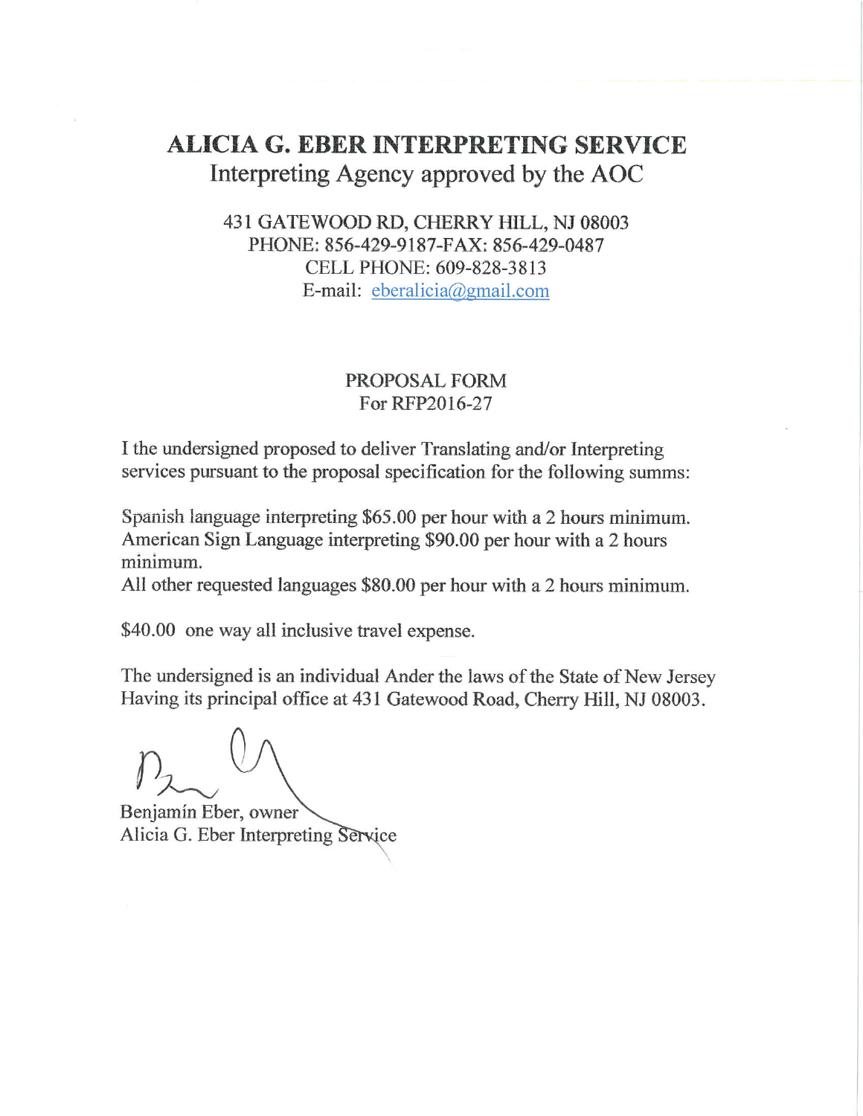# **ALICIA G. EBER INTERPRETING SERVICE** Interpreting Agency approved by the AOC

# 431 GATEWOOD RD, CHERRY HILL, NJ 08003 PHONE: 856-429-9187-FAX: 856-429-0487 CELL PHONE: 609-828-3813 E-mail: eberalicia@gmail.com

### PROPOSAL FORM For RFP2016-27

I the undersigned proposed to deliver Translating and/or Interpreting services pursuant to the proposal specification for the following summs:

Spanish language interpreting \$65.00 per hour with a 2 hours minimum. American Sign Language interpreting \$90.00 per hour with a 2 hours minimum.

All other requested languages \$80.00 per hour with a 2 hours minimum.

\$40.00 one way all inclusive travel expense.

The undersigned is an individual Ander the laws of the State of New Jersey Having its principal office at 431 Gatewood Road, Cherry Hill, NJ 08003.

Benjamín Eber, owner Alicia G. Eber Interpreting Service